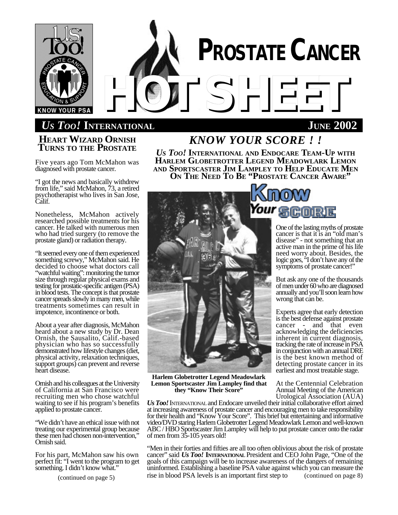

# **HEART WIZARD ORNISH TURNS TO THE PROSTATE**

Five years ago Tom McMahon was diagnosed with prostate cancer.

"I got the news and basically withdrew from life," said McMahon, 73, a retired psychotherapist who lives in San Jose, Calif.

Nonetheless, McMahon actively researched possible treatments for his cancer. He talked with numerous men who had tried surgery (to remove the prostate gland) or radiation therapy.

"It seemed every one of them experienced something screwy," McMahon said. He decided to choose what doctors call "watchful waiting": monitoring the tumor size through regular physical exams and testing for prostatic-specific antigen (PSA) in blood tests. The concept is that prostate cancer spreads slowly in many men, while treatments sometimes can result in impotence, incontinence or both.

About a year after diagnosis, McMahon heard about a new study by Dr. Dean Ornish, the Sausalito, Calif.-based physician who has so successfully demonstrated how lifestyle changes (diet, physical activity, relaxation techniques, support groups) can prevent and reverse heart disease.

Ornish and his colleagues at the University of California at San Francisco were recruiting men who chose watchful waiting to see if his program's benefits applied to prostate cancer.

"We didn't have an ethical issue with not treating our experimental group because these men had chosen non-intervention," Ornish said.

For his part, McMahon saw his own perfect fit: "I went to the program to get something. I didn't know what."

(continued on page 5)

# *KNOW YOUR SCORE ! !*

*US TOO!* **INTERNATIONAL AND ENDOCARE TEAM-U<sup>P</sup> WITH HARLEM GLOBETROTTER LEGEND MEADOWLARK LEMON AND SPORTSCASTER JIM LAMPLEY TO HELP EDUCATE MEN ON THE NEED TO B<sup>E</sup> "PROSTATE CANCER AWARE"**



**Harlem Globetrotter Legend Meadowlark Lemon Sportscaster Jim Lampley find that they "Know Their Score"**

One of the lasting myths of prostate cancer is that it is an "old man's disease" - not something that an active man in the prime of his life need worry about. Besides, the logic goes, "I don't have any of the symptoms of prostate cancer!"

But ask any one of the thousands of men under 60 who are diagnosed annually and you'll soon learn how wrong that can be.

Experts agree that early detection is the best defense against prostate cancer - and that even acknowledging the deficiencies inherent in current diagnosis, tracking the rate of increase in PSA in conjunction with an annual DRE is the best known method of detecting prostate cancer in its earliest and most treatable stage.

At the Centennial Celebration Annual Meeting of the American Urological Association (AUA)

*Us Too!* INTERNATIONAL and Endocare unveiled their initial collaborative effort aimed at increasing awareness of prostate cancer and encouraging men to take responsibility for their health and "Know Your Score". This brief but entertaining and informative video/DVD staring Harlem Globetrotter Legend Meadowlark Lemon and well-known ABC / HBO Sportscaster Jim Lampley will help to put prostate cancer onto the radar of men from 35-105 years old!

"Men in their forties and fifties are all too often oblivious about the risk of prostate cancer" said *Us Too!* **INTERNATIONAL** President and CEO John Page, "One of the goals of this campaign will be to increase awareness of the dangers of remaining uninformed. Establishing a baseline PSA value against which you can measure the rise in blood PSA levels is an important first step to (continued on page 8)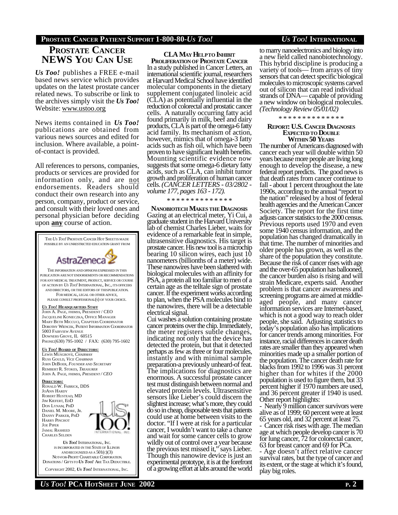# **PROSTATE CANCER PATIENT SUPPORT 1-800-80-***US TOO! US TOO!* **INTERNATIONAL**

# **PROSTATE CANCER NEWS YOU CAN USE**

*Us Too!* publishes a FREE e-mail based news service which provides updates on the latest prostate cancer related news. To subscribe or link to the archives simply visit the *Us Too!* Website: www.ustoo.org

News items contained in *Us Too!* publications are obtained from various news sources and edited for inclusion. Where available, a pointof-contact is provided.

All references to persons, companies, products or services are provided for information only, and are not endorsements. Readers should conduct their own research into any person, company, product or service, and consult with their loved ones and personal physician before deciding upon **any** course of action.



COPYRIGHT 2002, *US TOO!* INTERNATIONAL, INC.

**CLA MAY HELPTO INHIBIT PROLIFERATIONOF PROSTATE CANCER** In a study published in Cancer Letters, an international scientific journal, researchers at Harvard Medical School have identified molecular components in the dietary supplement conjugated linoleic acid (CLA) as potentially influential in the reduction of colorectal and prostatic cancer cells. A naturally occurring fatty acid found primarily in milk, beef and dairy products, CLA is part of the omega-6 fatty acid family. Its mechanism of action, however, mimics that of omega-3 fatty acids such as fish oil, which have been proven to have significant health benefits. Mounting scientific evidence now suggests that some omega-6 dietary fatty acids, such as CLA, can inhibit tumor growth and proliferation of human cancer cells. *(CANCER LETTERS - 03/2802 volume 177, pages 163 - 172).*

\* \* \* \* \* \* \* \* \* \* \* \* \* \*

**NANOBIOTECH MAKES THE DIAGNOSIS** Gazing at an electrical meter, Yi Cui, a graduate student in the Harvard University lab of chemist Charles Lieber, waits for evidence of a remarkable feat in simple, ultrasensitive diagnostics. His target is prostate cancer. His new tool is a microchip bearing 10 silicon wires, each just 10 nanometers (billionths of a meter) wide. These nanowires have been slathered with biological molecules with an affinity for PSA, a protein all too familiar to men of a certain age as the telltale sign of prostate cancer. If the experiment works according to plan, when the PSA molecules bind to the nanowires, there will be a detectable electrical signal.

Cui washes a solution containing prostate cancer proteins over the chip. Immediately, the meter registers subtle changes, indicating not only that the device has detected the protein, but that it detected perhaps as few as three or four molecules, instantly and with minimal sample preparation-a previously unheard-of feat. The implications for diagnostics are enormous. A successful prostate cancer test must distinguish between normal and elevated protein levels. Ultrasensitive sensors like Lieber's could discern the slightest increase; what's more, they could do so in cheap, disposable tests that patients could use at home between visits to the doctor. "If I were at risk for a particular cancer, I wouldn't want to take a chance and wait for some cancer cells to grow wildly out of control over a year because the previous test missed it," says Lieber. Though this nanowire device is just an experimental prototype, it is at the forefront of a growing effort at labs around the world

to marry nanoelectronics and biology into a new field called nanobiotechnology. This hybrid discipline is producing a variety of tools— from arrays of tiny sensors that can detect specific biological molecules to microscopic systems carved out of silicon that can read individual strands of DNA— capable of providing a new window on biological molecules. *(Technology Review 05/01/02)*

\* \* \* \* \* \* \* \* \* \* \* \* \* \*

### **REPORT: U.S. CANCER DIAGNOSES EXPECTED TO DOUBLE WITHIN 50 YEARS**

The number of Americans diagnosed with cancer each year will double within 50 years because more people are living long enough to develop the disease, a new federal report predicts. The good news is that death rates from cancer continue to fall - about 1 percent throughout the late 1990s, according to the annual "report to the nation" released by a host of federal health agencies and the American Cancer Society. The report for the first time adjusts cancer statistics to the 2000 census. Previous reports used 1970 and even some 1940 census information, and the population has changed dramatically in that time. The number of minorities and older people has grown, as well as the share of the population they constitute. Because the risk of cancer rises with age and the over-65 population has ballooned, the cancer burden also is rising and will strain Medicare, experts said. Another problem is that cancer awareness and screening programs are aimed at middleaged people, and many cancer information services are Internet-based, which is not a good way to reach older people, she said. Adjusting statistics to today's population also has implications for cancer trends among minorities. For instance, racial differences in cancer death rates are smaller than they appeared when minorities made up a smaller portion of the population. The cancer death rate for blacks from 1992 to 1996 was 31 percent higher than for whites if the 2000 population is used to figure them, but 33 percent higher if 1970 numbers are used, and 36 percent greater if 1940 is used. Other report highlights:

- Nearly 9 million cancer survivors were alive as of 1999; 60 percent were at least 65 years old, and 32 percent at least 75.

- Cancer risk rises with age. The median age at which people develop cancer is 70 for lung cancer, 72 for colorectal cancer, 63 for breast cancer and 69 for PCa.

- Age doesn't affect relative cancer survival rates, but the type of cancer and its extent, or the stage at which it's found, play big roles.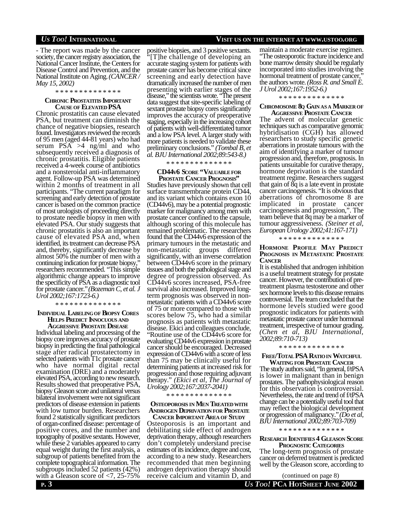- The report was made by the cancer society, the cancer registry association, the National Cancer Institute, the Centers for Disease Control and Prevention, and the National Institute on Aging. *(CANCER / May 15, 2002)*

\* \* \* \* \* \* \* \* \* \* \* \* \* \*

### **CHRONIC PROSTATITIS IMPORTANT CAUSE OF ELEVATED PSA**

Chronic prostatitis can cause elevated PSA, but treatment can diminish the chance of negative biopsies, research found. Investigators reviewed the records of 95 men (aged 44-81 years) who had serum  $PSA > 4$  ng/ml and who subsequently received a diagnosis of chronic prostatitis. Eligible patients received a 4-week course of antibiotics and a nonsteroidal anti-inflammatory agent. Follow-up PSA was determined within 2 months of treatment in all participants. "The current paradigm for screening and early detection of prostate cancer is based on the common practice of most urologists of proceeding directly to prostate needle biopsy in men with elevated PSA. Our study suggests that chronic prostatitis is also an important cause of elevated PSA and, when identified, its treatment can decrease PSA and, thereby, significantly decrease by almost 50% the number of men with a continuing indication for prostate biopsy, researchers recommended. "This simple algorithmic change appears to improve the specificity of PSA as a diagnostic tool for prostate cancer." *(Bozeman C, et al. J Urol 2002;167:1723-6.)*

\* \* \* \* \* \* \* \* \* \* \* \* \* \*

## **INDIVIDUAL LABELINGOF BIOPSY CORES HELPS PREDICT INNOCUOUS AND**

**AGGRESSIVE PROSTATE DISEASE** Individual labeling and processing of the biopsy core improves accuracy of prostate biopsy in predicting the final pathological stage after radical prostatectomy in selected patients with T1c prostate cancer who have normal digital rectal examination (DRE) and a moderately elevated PSA, according to new research. Results showed that preoperative PSA, biopsy Gleason score and unilateral versus bilateral involvement were not significant predictors of disease extension in patients with low tumor burden. Researchers found 2 statistically significant predictors of organ-confined disease: percentage of positive cores, and the number and topography of positive sextants. However, while these 2 variables appeared to carry equal weight during the first analysis, a subgroup of patients benefited from the complete topographical information. The subgroups included 52 patients (42%) with a Gleason score of  $\langle 7, 25-75 \rangle$ 

positive biopsies, and 3 positive sextants. "[T]he challenge of developing an accurate staging system for patients with prostate cancer has become critical since screening and early detection have dramatically increased the number of men presenting with earlier stages of the disease," the scientists wrote. "The present data suggest that site-specific labeling of sextant prostate biopsy cores significantly improves the accuracy of preoperative staging, especially in the increasing cohort of patients with well-differentiated tumor and a low PSA level. A larger study with more patients is needed to validate these preliminary conclusions." *(Tombal B, et al. BJU International 2002;89:543-8.)*

\* \* \* \* \* \* \* \* \* \* \* \* \* \*

### **CD44V6 SCORE "VALUABLEFOR PROSTATE CANCER PROGNOSIS"**

Studies have previously shown that cell surface transmembrane protein CD44, and its variant which contains exon 10 (CD44v6), may be a potential prognostic marker for malignancy among men with prostate cancer confined to the capsule, although scoring of this molecule has remained problematic. The researchers found that the CD44v6 expression of the primary tumours in the metastatic and non-metastatic groups differed significantly, with an inverse correlation between CD44v6 score in the primary tissues and both the pathological stage and degree of progression observed. As CD44v6 scores increased, PSA-free survival also increased. Improved longterm prognosis was observed in nonmetastatic patients with a CD44v6 score of 75 or more compared to those with scores below 75, who had a similar prognosis as patients with metastatic disease. Ekici and colleagues conclude, "Routine use of the CD44v6 score for evaluating CD44v6 expression in prostate cancer should be encouraged. Decreased expression of CD44v6 with a score of less than 75 may be clinically useful for determining patients at increased risk for progression and those requiring adjuvant therapy." *(Ekici et al, The Journal of Urology 2002;167:2037-2041)*

\* \* \* \* \* \* \* \* \* \* \* \* \* \*

## **OSTEOPOROSIS IN MEN TREATEDWITH ANDROGEN DEPRIVATION FOR PROSTATE**

**CANCER IMPORTANT AREA OF STUDY** Osteoporosis is an important and debilitating side effect of androgen deprivation therapy, although researchers don't completely understand precise estimates of its incidence, degree and cost, according to a new study. Researchers recommended that men beginning androgen deprivation therapy should receive calcium and vitamin D, and

## *US TOO!* **INTERNATIONAL VISIT US ON THE INTERNET AT WWW.USTOO.ORG**

maintain a moderate exercise regimen. "The osteoporotic fracture incidence and bone marrow density should be regularly incorporated into studies involving the hormonal treatment of prostate cancer, the authors wrote. *(Ross R. and Small E. J Urol 2002;167:1952-6.)*

#### \* \* \* \* \* \* \* \* \* \* \* \* \* \*

### **CHROMOSOME 8Q GAIN ASA MARKER OF AGGRESSIVE PROSTATE CANCER**

The advent of molecular genetic techniques such as comparative genomic hybridisation (CGH) has allowed researchers to study specific genetic aberrations in prostate tumours with the aim of identifying a marker of tumour progression and, therefore, prognosis. In patients unsuitable for curative therapy, hormone deprivation is the standard treatment regime. Researchers suggest that gain of 8q is a late event in prostate cancer carcinogenesis. "It is obvious that aberrations of chromosome 8 are implicated in prostate cancer carcinogenesis and progression,". The team believe that 8q may be a marker of tumour aggressiveness. *(Steiner et al, European Urology 2002;41:167-171)*

\* \* \* \* \* \* \* \* \* \* \* \* \* \*

### **HORMONE PROFILE MAY PREDICT PROGNOSIS IN METASTATIC PROSTATE CANCER**

It is established that androgen inhibition is a useful treatment strategy for prostate cancer. However, the contribution of pretreatment plasma testosterone and other sex hormone levels to this disease remains controversial. The team concluded that the hormone levels studied were good prognostic indicators for patients with metastatic prostate cancer under hormonal treatment, irrespective of tumour grading. *(Chen et al, BJU International, 2002;89:710-713)*

#### \* \* \* \* \* \* \* \* \* \* \* \* \* \*

### **FREE/TOTAL PSA RATIOIN WATCHFUL WAITING FOR PROSTATE CANCER**

The study authors said, "In general, f/tPSA is lower in malignant than in benign prostates. The pathophysiological reason for this observation is controversial. Nevertheless, the rate and trend of f/tPSA change can be a potentially useful tool that may reflect the biological development or progression of malignancy." *(Do et al, BJU International 2002;89:703-709)*

\* \* \* \* \* \* \* \* \* \* \* \* \* \*

#### **RESEARCH IDENTIFIES 4 GLEASON SCORE PROGNOSTIC CATEGORIES**

The long-term prognosis of prostate cancer on deferred treatment is predicted well by the Gleason score, according to

**P.** 3 **Us Too! PCA HOTSHEET JUNE 2002** (continued on page 8)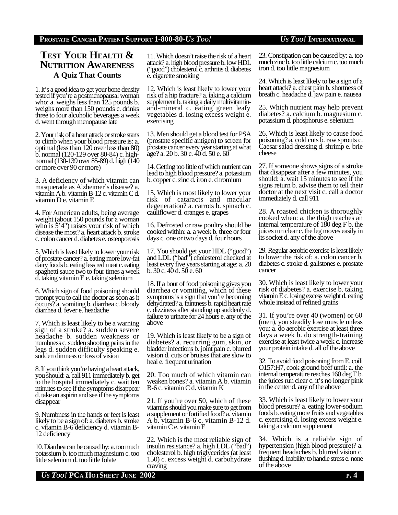# **TEST YOUR HEALTH & NUTRITION AWARENESS A Quiz That Counts**

1. It's a good idea to get your bone density tested if you're a postmenopausal woman who: a. weighs less than 125 pounds b. weighs more than 150 pounds c. drinks three to four alcoholic beverages a week d. went through menopause late

2. Your risk of a heart attack or stroke starts to climb when your blood pressure is: a. optimal (less than 120 over less than 80) b. normal (120-129 over 80-84) c. highnormal (130-139 over 85-89) d. high (140 or more over 90 or more)

3. A deficiency of which vitamin can masquerade as Alzheimer's disease? a. vitamin A b. vitamin B-12 c. vitamin C d. vitamin D e. vitamin E

4. For American adults, being average weight (about 150 pounds for a woman who is  $5'4"$ ) raises your risk of which disease the most? a. heart attack b. stroke c. colon cancer d. diabetes e. osteoporosis

5. Which is least likely to lower your risk of prostate cancer? a. eating more low-fat dairy foods b. eating less red meat c. eating spaghetti sauce two to four times a week d. taking vitamin E e. taking selenium

6. Which sign of food poisoning should prompt you to call the doctor as soon as it occurs? a. vomiting b. diarrhea c. bloody diarrhea d. fever e. headache

7. Which is least likely to be a warning sign of a stroke? a. sudden severe headache b. sudden weakness or numbness c. sudden shooting pains in the legs d. sudden difficulty speaking e. sudden dimness or loss of vision

8. If you think you're having a heart attack, you should: a. call 911 immediately b. get to the hospital immediately c. wait ten minutes to see if the symptoms disappear d. take an aspirin and see if the symptoms disappear

9. Numbness in the hands or feet is least likely to be a sign of: a. diabetes b. stroke c. vitamin B-6 deficiency d. vitamin B-12 deficiency

10. Diarrhea can be caused by: a. too much potassium b. too much magnesium c. too little selenium d. too little folate

11. Which doesn't raise the risk of a heart attack? a. high blood pressure b. low HDL ("good") cholesterol c. arthritis d. diabetes e. cigarette smoking

12. Which is least likely to lower your risk of a hip fracture? a. taking a calcium supplement b. taking a daily multivitaminand-mineral c. eating green leafy vegetables d. losing excess weight e. exercising

13. Men should get a blood test for PSA (prostate specific antigen) to screen for prostate cancer every year starting at what age? a. 20 b. 30 c. 40 d. 50 e. 60

14. Getting too little of which nutrient can lead to high blood pressure? a. potassium b. copper c. zinc d. iron e. chromium

15. Which is most likely to lower your risk of cataracts and macular degeneration? a. carrots b. spinach c. cauliflower d. oranges e. grapes

16. Defrosted or raw poultry should be cooked within: a. a week b. three or four days c. one or two days d. four hours

17. You should get your HDL ("good") and LDL ("bad") cholesterol checked at least every five years starting at age: a. 20 b. 30 c. 40 d. 50 e. 60

18. If a bout of food poisoning gives you diarrhea or vomiting, which of these symptoms is a sign that you're becoming dehydrated? a. faintness b. rapid heart rate c. dizziness after standing up suddenly d. failure to urinate for 24 hours e. any of the above

19. Which is least likely to be a sign of diabetes? a. recurring gum, skin, or bladder infections b. joint pain c. blurred vision d. cuts or bruises that are slow to heal e. frequent urination

20. Too much of which vitamin can weaken bones? a. vitamin A b. vitamin B-6 c. vitamin C d. vitamin K

21. If you're over 50, which of these vitamins should you make sure to get from a supplement or fortified food? a. vitamin A b. vitamin B-6 c. vitamin B-12 d. vitamin C e. vitamin E

22. Which is the most reliable sign of insulin resistance? a. high LDL ("bad") cholesterol b. high triglycerides (at least 150) c. excess weight d. carbohydrate craving

23. Constipation can be caused by: a. too much zinc b. too little calcium c. too much iron d. too little magnesium

24. Which is least likely to be a sign of a heart attack? a. chest pain b. shortness of breath c. headache d. jaw pain e. nausea

25. Which nutrient may help prevent diabetes? a. calcium b. magnesium c. potassium d. phosphorus e. selenium

26. Which is least likely to cause food poisoning? a. cold cuts b. raw sprouts c. Caesar salad dressing d. shrimp e. brie cheese

27. If someone shows signs of a stroke that disappear after a few minutes, you should: a. wait 15 minutes to see if the signs return b. advise them to tell their doctor at the next visit c. call a doctor immediately d. call 911

28. A roasted chicken is thoroughly cooked when: a. the thigh reaches an internal temperature of 180 deg F b. the juices run clear c. the leg moves easily in its socket d. any of the above

29. Regular aerobic exercise is least likely to lower the risk of: a. colon cancer b. diabetes c. stroke d. gallstones e. prostate cancer

30. Which is least likely to lower your risk of diabetes? a. exercise b. taking vitamin E c. losing excess weight d. eating whole instead of refined grains

31. If you're over 40 (women) or 60 (men), you steadily lose muscle unless you: a. do aerobic exercise at least three days a week b. do strength-training exercise at least twice a week c. increase your protein intake d. all of the above

32. To avoid food poisoning from E. coili O157:H7, cook ground beef until: a. the internal temperature reaches 160 deg F b. the juices run clear c. it's no longer pink in the center d. any of the above

33. Which is least likely to lower your blood pressure? a. eating lower-sodium foods b. eating more fruits and vegetables c. exercising d. losing excess weight e. taking a calcium supplement

34. Which is a reliable sign of hypertension (high blood pressure)? a. frequent headaches b. blurred vision c. flushing d. inability to handle stress e. none of the above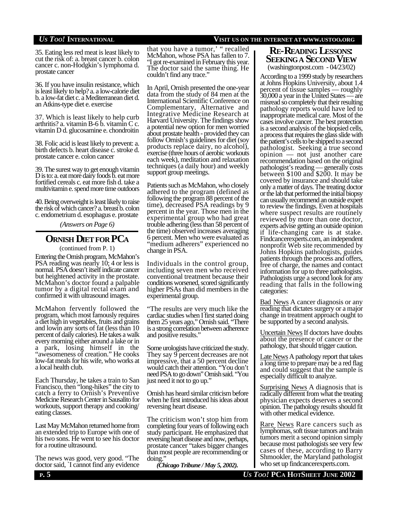# *US TOO!* **INTERNATIONAL VISIT US ON THE INTERNET AT WWW.USTOO.ORG**

35. Eating less red meat is least likely to cut the risk of: a. breast cancer b. colon cancer c. non-Hodgkin's lymphoma d. prostate cancer

36. If you have insulin resistance, which is least likely to help? a. a low-calorie diet b. a low-fat diet c. a Mediterranean diet d. an Atkins-type diet e. exercise

37. Which is least likely to help curb arthritis? a. vitamin B-6 b. vitamin C c. vitamin D d. glucosamine e. chondroitin

38. Folic acid is least likely to prevent: a. birth defects b. heart disease c. stroke d. prostate cancer e. colon cancer

39. The surest way to get enough vitamin D is to: a. eat more dairy foods  $\bar{b}$ , eat more fortified cereals c. eat more fish d. take a multivitamin e. spend more time outdoors

40. Being overweight is least likely to raise the risk of which cancer? a. breast b. colon c. endometrium d. esophagus e. prostate

*(Answers on Page 6)*

# **ORNISH DIETFOR PCA**

Entering the Ornish program, McMahon's PSA reading was nearly 10; 4 or less is normal. PSA doesn't itself indicate cancer but heightened activity in the prostate. McMahon's doctor found a palpable tumor by a digital rectal exam and confirmed it with ultrasound images. (continued from P. 1)

McMahon fervently followed the program, which most famously requires a diet high in vegetables, fruits and grains and lowin any sorts of fat (less than 10 percent of daily calories). He takes a walk every morning either around a lake or in a park, losing himself in the "awesomeness of creation." He cooks low-fat meals for his wife, who works at a local health club.

Each Thursday, he takes a train to San Francisco, then "long-hikes" the city to catch a ferry to Ornish's Preventive Medicine Research Center in Sausalito for workouts, support therapy and cooking/ eating classes.

Last May McMahon returned home from an extended trip to Europe with one of his two sons. He went to see his doctor for a routine ultrasound.

The news was good, very good. "The doctor said, `I cannot find any evidence that you have a tumor,' "recalled McMahon, whose PSA has fallen to 7. "I got re-examined in February this year. The doctor said the same thing. He couldn't find any trace."

In April, Ornish presented the one-year data from the study of 84 men at the International Scientific Conference on Complementary, Alternative and Integrative Medicine Research at Harvard University. The findings show a potential new option for men worried about prostate health - provided they can follow Ornish's guidelines for diet (soy products replace dairy, no alcohol), exercise (three hours of aerobic workouts each week), meditation and relaxation techniques (a daily hour) and weekly support group meetings.

Patients such as McMahon, who closely adhered to the program (defined as following the program 88 percent of the time), decreased PSA readings by 9 percent in the year. Those men in the experimental group who had great trouble adhering (less than 58 percent of the time) observed increases averaging 6 percent. Men who were evaluated as "medium adherers" experienced no change in PSA.

Individuals in the control group, including seven men who received conventional treatment because their conditions worsened, scored significantly higher PSAs than did members in the experimental group.

"The results are very much like the cardiac studies when I first started doing them 25 years ago," Ornish said. "There is a strong correlation between adherence and positive results."

Some urologists have criticized the study. They say 9 percent decreases are not impressive, that a 50 percent decline would catch their attention. "You don't need PSA to go down" Ornish said. "You just need it not to go up."

Ornish has heard similar criticism before when he first introduced his ideas about reversing heart disease.

The criticism won't stop him from completing four years of following each study participant. He emphasized that reversing heart disease and now, perhaps, prostate cancer "takes bigger changes than most people are recommending or doing."

*(Chicago Tribune / May 5, 2002).*

# **RE-READING LESSONS: SEEKINGA SECOND VIEW** (washingtonpost.com - 04/23/02)

According to a 1999 study by researchers at Johns Hopkins University, about 1.4 percent of tissue samples — roughly 30,000 a year in the United States — are misread so completely that their resulting pathology reports would have led to inappropriate medical care. Most of the cases involve cancer. The best protection is a second analysis of the biopsied cells, a process that requires the glass slide with the patient's cells to be shipped to a second pathologist. Seeking a true second opinion — not just another care recommendation based on the original pathologist's reading — generally costs between \$100 and \$200. It may be covered by insurance and should take only a matter of days. The treating doctor or the lab that performed the initial biopsy can usually recommend an outside expert to review the findings. Even at hospitals where suspect results are routinely reviewed by more than one doctor, experts advise getting an outside opinion if life-changing care is at stake. Findcancerexperts.com, an independent nonprofit Web site recommended by Johns Hopkins pathologists, guides patients through the process and offers, free of charge, the names and contact information for up to three pathologists. Pathologists urge a second look for any reading that falls in the following categories:

Bad News A cancer diagnosis or any reading that dictates surgery or a major change in treatment approach ought to be supported by a second analysis.

Uncertain News If doctors have doubts about the presence of cancer or the pathology, that should trigger caution.

Late News A pathology report that takes a long time to prepare may be a red flag and could suggest that the sample is especially difficult to analyze.

Surprising News A diagnosis that is radically different from what the treating physician expects deserves a second opinion. The pathology results should fit with other medical evidence.

Rare News Rare cancers such as lymphomas, soft tissue tumors and brain tumors merit a second opinion simply because most pathologists see very few cases of these, according to Barry Shmookler, the Maryland pathologist who set up findcancerexperts.com.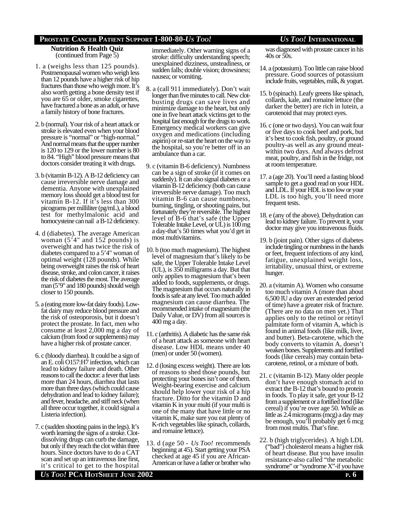## **PROSTATE CANCER PATIENT SUPPORT 1-800-80-***US TOO! US TOO!* **INTERNATIONAL**

**Nutrition & Health Quiz** (continued from Page 5)

- 1. a (weighs less than 125 pounds). Postmenopausal women who weigh less than 12 pounds have a higher risk of hip fractures than those who weigh more. It's also worth getting a bone density test if you are 65 or older, smoke cigarettes, have fractured a bone as an adult, or have a family history of bone fractures.
- 2. b (normal). Your risk of a heart attack or stroke is elevated even when your blood pressure is "normal" or "high-normal." And normal means that the upper number is 120 to 129 or the lower number is 80 to 84. "High" blood pressure means that doctors consider treating it with drugs.
- 3. b (vitamin B-12). A B-12 deficiency can cause irreversible nerve damage and dementia. Anyone with unexplained memory loss should get a blood test for vitamin B-12. If it's less than 300 picograms per milliliter (pg/mL), a blood test for methylmalonic acid and homocysteine can nail a B-12 deficiency.
- 4. d (diabetes). The average American woman  $(5'4''$  and  $152$  pounds) is overweight and has twice the risk of diabetes compared to a 5'4" woman of optimal weight (128 pounds). While being overweight raises the risk of heart disease, stroke, and colon cancer, it raises the risk of diabetes the most. The average man (5'9" and 180 pounds) should weigh closer to 150 pounds.
- 5. a (eating more low-fat dairy foods). Lowfat dairy may reduce blood pressure and the risk of osteoporosis, but it doesn't protect the prostate. In fact, men who consume at least 2,000 mg a day of calcium (from food or supplements) may have a higher risk of prostate cancer.
- 6. c (bloody diarrhea). It could be a sign of an E. coli O157:H7 infection, which can lead to kidney failure and death. Other reasons to call the doctor: a fever that lasts more than 24 hours, diarrhea that lasts more than three days (which could cause dehydration and lead to kidney failure); and fever, headache, and stiff neck (when all three occur together, it could signal a Listeria infection).
- 7. c (sudden shooting pains in the legs). It's worth learning the signs of a stroke. Clotdissolving drugs can curb the damage, but only if they reach the clot within three hours. Since doctors have to do a CAT scan and set up an intravenous line first, it's critical to get to the hospital

immediately. Other warning signs of a stroke: difficulty understanding speech; unexplained dizziness, unsteadiness, or sudden falls; double vision; drowsiness; nausea; or vomiting.

- 8. a (call 911 immediately). Don't wait longer than five minutes to call. New clotbusting drugs can save lives and minimize damage to the heart, but only one in five heart attack victims get to the hospital fast enough for the drugs to work. Emergency medical workers can give oxygen and medications (including aspirin) or re-start the heart on the way to the hospital, so you're better off in an ambulance than a car.
- 9. c (vitamin B-6 deficiency). Numbness can be a sign of stroke (if it comes on suddenly). It can also signal diabetes or a vitamin B-12 deficiency (both can cause irreversible nerve damage). Too much vitamin B-6 can cause numbness, burning, tingling, or shooting pains, but fortunately they're reversible. The highest level of B-6 that's safe (the Upper Tolerable Intake Level, or UL) is 100 mg a day-that's 50 times what you'd get in most multivitamins.
- 10. b (too much magnesium). The highest level of magnesium that's likely to be safe, the Upper Tolerable Intake Level (UL), is 350 milligrams a day. But that only applies to magnesium that's been added to foods, supplements, or drugs. The magnesium that occurs naturally in foods is safe at any level. Too much added magnesium can cause diarrhea. The recommended intake of magnesium (the Daily Value, or DV) from all sources is 400 mg a day.
- 11. c (arthritis). A diabetic has the same risk of a heart attack as someone with heart disease. Low HDL means under 40 (men) or under 50 (women).
- 12. d (losing excess weight). There are lots of reasons to shed those pounds, but protecting your bones isn't one of them. Weight-bearing exercise and calcium should help lower your risk of a hip fracture. Ditto for the vitamin D and vitamin K in your multi (if your multi is one of the many that have little or no vitamin K, make sure you eat plenty of K-rich vegetables like spinach, collards, and romaine lettuce).
- 13. d (age 50 *Us Too!* recommends beginning at 45). Start getting your PSA checked at age 45 if you are African-American or have a father or brother who

was diagnosed with prostate cancer in his 40s or 50s.

- 14. a (potassium). Too little can raise blood pressure. Good sources of potassium include fruits, vegetables, milk, & yogurt.
- 15. b (spinach). Leafy greens like spinach, collards, kale, and romaine lettuce (the darker the better) are rich in lutein, a carotenoid that may protect eyes.
- 16. c (one or two days). You can wait four or five days to cook beef and pork, but it's best to cook fish, poultry, or ground poultry-as well as any ground meatwithin two days. And always defrost meat, poultry, and fish in the fridge, not at room temperature.
- 17. a (age 20). You'll need a fasting blood sample to get a good read on your HDL and LDL. If your HDL is too low or your LDL is too high, you'll need more frequent tests.
- 18. e (any of the above). Dehydration can lead to kidney failure. To prevent it, your doctor may give you intravenous fluids.
- 19. b (joint pain). Other signs of diabetes include tingling or numbness in the hands or feet, frequent infections of any kind, fatigue, unexplained weight loss, irritability, unusual thirst, or extreme hunger.
- 20. a (vitamin A). Women who consume too much vitamin A (more than about 6,500 IU a day over an extended period of time) have a greater risk of fracture. (There are no data on men yet.) That applies only to the retinol or retinyl palmitate form of vitamin A, which is found in animal foods (like milk, liver, and butter). Beta-carotene, which the body converts to vitamin A, doesn't weaken bones. Supplements and fortified foods (like cereals) may contain betacarotene, retinol, or a mixture of both.
- 21. c (vitamin B-12). Many older people don't have enough stomach acid to extract the B-12 that's bound to protein in foods. To play it safe, get your B-12 from a supplement or a fortified food (like cereal) if you're over age 50. While as little as 2.4 micrograms (mcg) a day may be enough, you'll probably get 6 mcg from most multis. That's fine.
- 22. b (high triglycerides). A high LDL ("bad") cholesterol means a higher risk of heart disease. But you have insulin resistance-also called "the metabolic syndrome" or "syndrome X"-if you have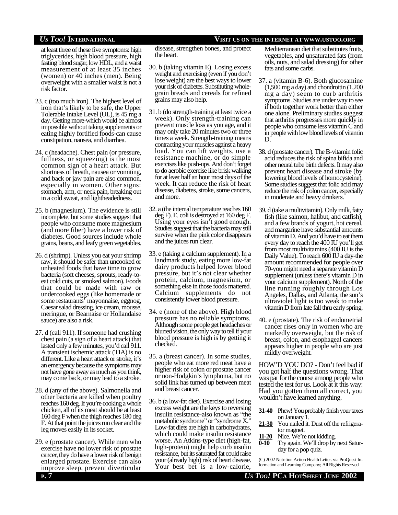*US TOO!* **INTERNATIONAL VISIT US ON THE INTERNET AT WWW.USTOO.ORG**

at least three of these five symptoms: high triglycerides, high blood pressure, high fasting blood sugar, low HDL, and a waist measurement of at least 35 inches (women) or 40 inches (men). Being overweight with a smaller waist is not a risk factor.

- 23. c (too much iron). The highest level of iron that's likely to be safe, the Upper Tolerable Intake Level (UL), is 45 mg a day. Getting more-which would be almost impossible without taking supplements or eating highly fortified foods-can cause constipation, nausea, and diarrhea.
- 24. c (headache). Chest pain (or pressure, fullness, or squeezing) is the most common sign of a heart attack. But shortness of breath, nausea or vomiting, and back or jaw pain are also common, especially in women. Other signs: stomach, arm, or neck pain, breaking out in a cold sweat, and lightheadedness.
- 25. b (magnesium). The evidence is still incomplete, but some studies suggest that people who consume more magnesium (and more fiber) have a lower risk of diabetes. Good sources include whole grains, beans, and leafy green vegetables.
- 26. d (shrimp). Unless you eat your shrimp raw, it should be safer than uncooked or unheated foods that have time to grow bacteria (soft cheeses, sprouts, ready-toeat cold cuts, or smoked salmon). Foods that could be made with raw or undercooked eggs (like homemade or some restaurants' mayonnaise, eggnog, Caesar salad dressing, ice cream, mousse, meringue, or Bearnaise or Hollandaise sauce) are also a risk.
- 27. d (call 911). If someone had crushing chest pain (a sign of a heart attack) that lasted only a few minutes, you'd call 911. A transient ischemic attack (TIA) is no different. Like a heart attack or stroke, it's an emergency because the symptoms may not have gone away as much as you think, may come back, or may lead to a stroke.
- 28. d (any of the above). Salmonella and other bacteria are killed when poultry reaches 160 deg. If you're cooking a whole chicken, all of its meat should be at least 160 deg F when the thigh reaches 180 deg F. At that point the juices run clear and the leg moves easily in its socket.
- 29. e (prostate cancer). While men who exercise have no lower risk of prostate cancer, they do have a lower risk of benign enlarged prostate. Exercise can also improve sleep, prevent diverticular

disease, strengthen bones, and protect the heart.

- 30. b (taking vitamin E). Losing excess weight and exercising (even if you don't lose weight) are the best ways to lower your risk of diabetes. Substituting wholegrain breads and cereals for refined grains may also help.
- 31. b (do strength-training at least twice a week). Only strength-training can prevent muscle loss as you age, and it may only take 20 minutes two or three times a week. Strength-training means contracting your muscles against a heavy load. You can lift weights, use a resistance machine, or do simple exercises like push-ups. And don't forget to do aerobic exercise like brisk walking for at least half an hour most days of the week. It can reduce the risk of heart disease, diabetes, stroke, some cancers, and more.
- 32. a (the internal temperature reaches 160 deg F). E. coli is destroyed at 160 deg F. Using your eyes isn't good enough. Studies suggest that the bacteria may still survive when the pink color disappears and the juices run clear.
- 33. e (taking a calcium supplement). In a landmark study, eating more low-fat dairy products helped lower blood pressure, but it's not clear whether protein, calcium, magnesium, or something else in those foods mattered. Calcium supplements do not consistently lower blood pressure.
- 34. e (none of the above). High blood pressure has no reliable symptoms. Although some people get headaches or blurred vision, the only way to tell if your blood pressure is high is by getting it checked.
- 35. a (breast cancer). In some studies, people who eat more red meat have a higher risk of colon or prostate cancer or non-Hodgkin's lymphoma, but no solid link has turned up between meat and breast cancer.
- 36. b (a low-fat diet). Exercise and losing excess weight are the keys to reversing insulin resistance-also known as "the metabolic syndrome" or "syndrome X." Low-fat diets are high in carbohydrates, which could make insulin resistance worse. An Atkins-type diet (high-fat, high-protein) might help curb insulin resistance, but its saturated fat could raise your (already high) risk of heart disease. Your best bet is a low-calorie,

Mediterranean diet that substitutes fruits, vegetables, and unsaturated fats (from oils, nuts, and salad dressing) for other fats and some carbs.

- 37. a (vitamin B-6). Both glucosamine (1,500 mg a day) and chondroitin (1,200 mg a day) seem to curb arthritis symptoms. Studies are under way to see if both together work better than either one alone. Preliminary studies suggest that arthritis progresses more quickly in people who consume less vitamin C and in people with low blood levels of vitamin D.
- 38. d (prostate cancer). The B-vitamin folic acid reduces the risk of spina bifida and other neural tube birth defects. It may also prevent heart disease and stroke (by lowering blood levels of homocysteine). Some studies suggest that folic acid may reduce the risk of colon cancer, especially in moderate and heavy drinkers.
- 39. d (take a multivitamin). Only milk, fatty fish (like salmon, halibut, and catfish), and a few brands of yogurt, hot cereal, and margarine have substantial amounts of vitamin D. And you'd have to eat them every day to reach the 400 IU you'll get from most multivitamins (400 IU is the Daily Value). To reach 600 IU a day-the amount recommended for people over 70-you might need a separate vitamin D supplement (unless there's vitamin D in your calcium supplement). North of the line running roughly through Los Angeles, Dallas, and Atlanta, the sun's ultraviolet light is too weak to make vitamin D from late fall thru early spring.
- 40. e (prostate). The risk of endometrial cancer rises only in women who are markedly overweight, but the risk of breast, colon, and esophageal cancers appears higher in people who are just mildly overweight.

HOW'D YOU DO? - Don't feel bad if you got half the questions wrong. That was par for the course among people who tested the test for us. Look at it this way: Had you gotten them all correct, you wouldn't have learned anything.

- **31-40** Phew! You probably finish your taxes on January 1.
- **21-30** You nailed it. Dust off the refrigerator magnet.
- **11-20** Nice. We're not kidding.<br>**0-10** Try again. We'll drop by
- **0-10** Try again. We'll drop by next Saturday for a pop quiz.

(C) 2002 Nutrition Action Health Letter. via ProQuest Information and Learning Company; All Rights Reserved